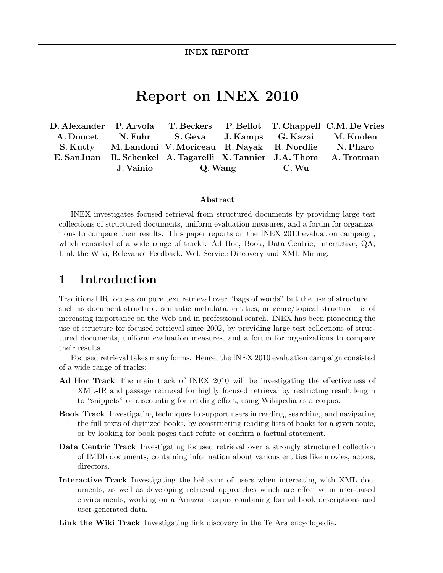# Report on INEX 2010

|           |                                                              |  | D. Alexander P. Arvola T. Beckers P. Bellot T. Chappell C.M. De Vries |
|-----------|--------------------------------------------------------------|--|-----------------------------------------------------------------------|
|           | A. Doucet N. Fuhr S. Geva J. Kamps G. Kazai M. Koolen        |  |                                                                       |
|           | S. Kutty M. Landoni V. Moriceau R. Nayak R. Nordlie N. Pharo |  |                                                                       |
|           |                                                              |  | E. SanJuan R. Schenkel A. Tagarelli X. Tannier J.A. Thom A. Trotman   |
| J. Vainio | Q. Wang C. Wu                                                |  |                                                                       |

#### Abstract

INEX investigates focused retrieval from structured documents by providing large test collections of structured documents, uniform evaluation measures, and a forum for organizations to compare their results. This paper reports on the INEX 2010 evaluation campaign, which consisted of a wide range of tracks: Ad Hoc, Book, Data Centric, Interactive, QA, Link the Wiki, Relevance Feedback, Web Service Discovery and XML Mining.

# 1 Introduction

Traditional IR focuses on pure text retrieval over "bags of words" but the use of structure such as document structure, semantic metadata, entities, or genre/topical structure—is of increasing importance on the Web and in professional search. INEX has been pioneering the use of structure for focused retrieval since 2002, by providing large test collections of structured documents, uniform evaluation measures, and a forum for organizations to compare their results.

Focused retrieval takes many forms. Hence, the INEX 2010 evaluation campaign consisted of a wide range of tracks:

- Ad Hoc Track The main track of INEX 2010 will be investigating the effectiveness of XML-IR and passage retrieval for highly focused retrieval by restricting result length to "snippets" or discounting for reading effort, using Wikipedia as a corpus.
- Book Track Investigating techniques to support users in reading, searching, and navigating the full texts of digitized books, by constructing reading lists of books for a given topic, or by looking for book pages that refute or confirm a factual statement.
- Data Centric Track Investigating focused retrieval over a strongly structured collection of IMDb documents, containing information about various entities like movies, actors, directors.
- Interactive Track Investigating the behavior of users when interacting with XML documents, as well as developing retrieval approaches which are effective in user-based environments, working on a Amazon corpus combining formal book descriptions and user-generated data.
- Link the Wiki Track Investigating link discovery in the Te Ara encyclopedia.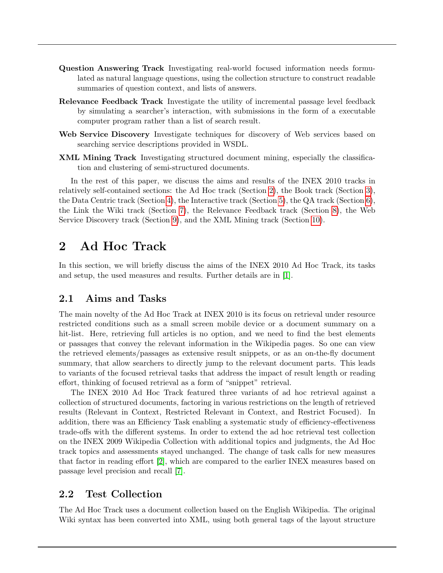- Question Answering Track Investigating real-world focused information needs formulated as natural language questions, using the collection structure to construct readable summaries of question context, and lists of answers.
- Relevance Feedback Track Investigate the utility of incremental passage level feedback by simulating a searcher's interaction, with submissions in the form of a executable computer program rather than a list of search result.
- Web Service Discovery Investigate techniques for discovery of Web services based on searching service descriptions provided in WSDL.
- XML Mining Track Investigating structured document mining, especially the classification and clustering of semi-structured documents.

In the rest of this paper, we discuss the aims and results of the INEX 2010 tracks in relatively self-contained sections: the Ad Hoc track (Section [2\)](#page-1-0), the Book track (Section [3\)](#page-3-0), the Data Centric track (Section [4\)](#page-5-0), the Interactive track (Section [5\)](#page-6-0), the QA track (Section [6\)](#page-8-0), the Link the Wiki track (Section [7\)](#page-9-0), the Relevance Feedback track (Section [8\)](#page-10-0), the Web Service Discovery track (Section [9\)](#page-12-0), and the XML Mining track (Section [10\)](#page-13-0).

### <span id="page-1-0"></span>2 Ad Hoc Track

In this section, we will briefly discuss the aims of the INEX 2010 Ad Hoc Track, its tasks and setup, the used measures and results. Further details are in [\[1\]](#page-15-0).

#### 2.1 Aims and Tasks

The main novelty of the Ad Hoc Track at INEX 2010 is its focus on retrieval under resource restricted conditions such as a small screen mobile device or a document summary on a hit-list. Here, retrieving full articles is no option, and we need to find the best elements or passages that convey the relevant information in the Wikipedia pages. So one can view the retrieved elements/passages as extensive result snippets, or as an on-the-fly document summary, that allow searchers to directly jump to the relevant document parts. This leads to variants of the focused retrieval tasks that address the impact of result length or reading effort, thinking of focused retrieval as a form of "snippet" retrieval.

The INEX 2010 Ad Hoc Track featured three variants of ad hoc retrieval against a collection of structured documents, factoring in various restrictions on the length of retrieved results (Relevant in Context, Restricted Relevant in Context, and Restrict Focused). In addition, there was an Efficiency Task enabling a systematic study of efficiency-effectiveness trade-offs with the different systems. In order to extend the ad hoc retrieval test collection on the INEX 2009 Wikipedia Collection with additional topics and judgments, the Ad Hoc track topics and assessments stayed unchanged. The change of task calls for new measures that factor in reading effort [\[2\]](#page-15-1), which are compared to the earlier INEX measures based on passage level precision and recall [\[7\]](#page-15-2).

#### 2.2 Test Collection

The Ad Hoc Track uses a document collection based on the English Wikipedia. The original Wiki syntax has been converted into XML, using both general tags of the layout structure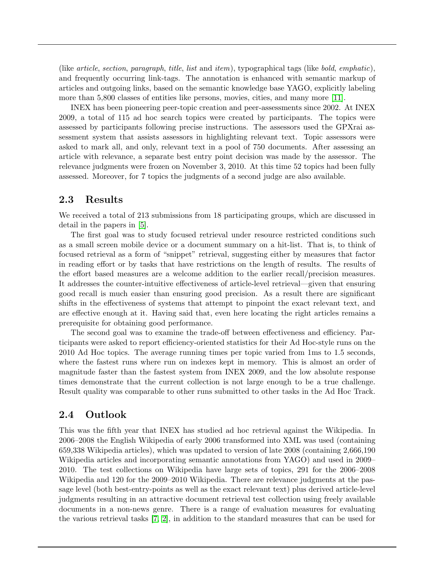(like article, section, paragraph, title, list and item), typographical tags (like bold, emphatic), and frequently occurring link-tags. The annotation is enhanced with semantic markup of articles and outgoing links, based on the semantic knowledge base YAGO, explicitly labeling more than 5,800 classes of entities like persons, movies, cities, and many more [\[11\]](#page-15-3).

INEX has been pioneering peer-topic creation and peer-assessments since 2002. At INEX 2009, a total of 115 ad hoc search topics were created by participants. The topics were assessed by participants following precise instructions. The assessors used the GPXrai assessment system that assists assessors in highlighting relevant text. Topic assessors were asked to mark all, and only, relevant text in a pool of 750 documents. After assessing an article with relevance, a separate best entry point decision was made by the assessor. The relevance judgments were frozen on November 3, 2010. At this time 52 topics had been fully assessed. Moreover, for 7 topics the judgments of a second judge are also available.

#### 2.3 Results

We received a total of 213 submissions from 18 participating groups, which are discussed in detail in the papers in [\[5\]](#page-15-4).

The first goal was to study focused retrieval under resource restricted conditions such as a small screen mobile device or a document summary on a hit-list. That is, to think of focused retrieval as a form of "snippet" retrieval, suggesting either by measures that factor in reading effort or by tasks that have restrictions on the length of results. The results of the effort based measures are a welcome addition to the earlier recall/precision measures. It addresses the counter-intuitive effectiveness of article-level retrieval—given that ensuring good recall is much easier than ensuring good precision. As a result there are significant shifts in the effectiveness of systems that attempt to pinpoint the exact relevant text, and are effective enough at it. Having said that, even here locating the right articles remains a prerequisite for obtaining good performance.

The second goal was to examine the trade-off between effectiveness and efficiency. Participants were asked to report efficiency-oriented statistics for their Ad Hoc-style runs on the 2010 Ad Hoc topics. The average running times per topic varied from 1ms to 1.5 seconds, where the fastest runs where run on indexes kept in memory. This is almost an order of magnitude faster than the fastest system from INEX 2009, and the low absolute response times demonstrate that the current collection is not large enough to be a true challenge. Result quality was comparable to other runs submitted to other tasks in the Ad Hoc Track.

#### 2.4 Outlook

This was the fifth year that INEX has studied ad hoc retrieval against the Wikipedia. In 2006–2008 the English Wikipedia of early 2006 transformed into XML was used (containing 659,338 Wikipedia articles), which was updated to version of late 2008 (containing 2,666,190 Wikipedia articles and incorporating semantic annotations from YAGO) and used in 2009– 2010. The test collections on Wikipedia have large sets of topics, 291 for the 2006–2008 Wikipedia and 120 for the 2009–2010 Wikipedia. There are relevance judgments at the passage level (both best-entry-points as well as the exact relevant text) plus derived article-level judgments resulting in an attractive document retrieval test collection using freely available documents in a non-news genre. There is a range of evaluation measures for evaluating the various retrieval tasks [\[7,](#page-15-2) [2\]](#page-15-1), in addition to the standard measures that can be used for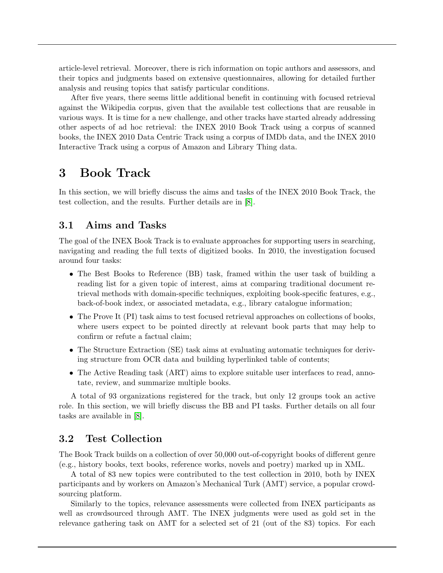article-level retrieval. Moreover, there is rich information on topic authors and assessors, and their topics and judgments based on extensive questionnaires, allowing for detailed further analysis and reusing topics that satisfy particular conditions.

After five years, there seems little additional benefit in continuing with focused retrieval against the Wikipedia corpus, given that the available test collections that are reusable in various ways. It is time for a new challenge, and other tracks have started already addressing other aspects of ad hoc retrieval: the INEX 2010 Book Track using a corpus of scanned books, the INEX 2010 Data Centric Track using a corpus of IMDb data, and the INEX 2010 Interactive Track using a corpus of Amazon and Library Thing data.

# <span id="page-3-0"></span>3 Book Track

In this section, we will briefly discuss the aims and tasks of the INEX 2010 Book Track, the test collection, and the results. Further details are in [\[8\]](#page-15-5).

#### 3.1 Aims and Tasks

The goal of the INEX Book Track is to evaluate approaches for supporting users in searching, navigating and reading the full texts of digitized books. In 2010, the investigation focused around four tasks:

- The Best Books to Reference (BB) task, framed within the user task of building a reading list for a given topic of interest, aims at comparing traditional document retrieval methods with domain-specific techniques, exploiting book-specific features, e.g., back-of-book index, or associated metadata, e.g., library catalogue information;
- The Prove It (PI) task aims to test focused retrieval approaches on collections of books, where users expect to be pointed directly at relevant book parts that may help to confirm or refute a factual claim;
- The Structure Extraction (SE) task aims at evaluating automatic techniques for deriving structure from OCR data and building hyperlinked table of contents;
- The Active Reading task (ART) aims to explore suitable user interfaces to read, annotate, review, and summarize multiple books.

A total of 93 organizations registered for the track, but only 12 groups took an active role. In this section, we will briefly discuss the BB and PI tasks. Further details on all four tasks are available in [\[8\]](#page-15-5).

### 3.2 Test Collection

The Book Track builds on a collection of over 50,000 out-of-copyright books of different genre (e.g., history books, text books, reference works, novels and poetry) marked up in XML.

A total of 83 new topics were contributed to the test collection in 2010, both by INEX participants and by workers on Amazon's Mechanical Turk (AMT) service, a popular crowdsourcing platform.

Similarly to the topics, relevance assessments were collected from INEX participants as well as crowdsourced through AMT. The INEX judgments were used as gold set in the relevance gathering task on AMT for a selected set of 21 (out of the 83) topics. For each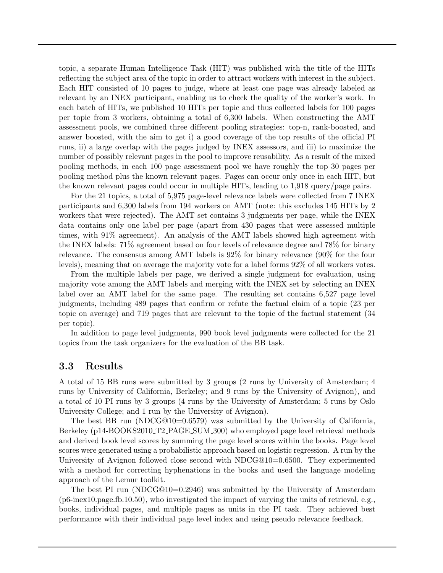topic, a separate Human Intelligence Task (HIT) was published with the title of the HITs reflecting the subject area of the topic in order to attract workers with interest in the subject. Each HIT consisted of 10 pages to judge, where at least one page was already labeled as relevant by an INEX participant, enabling us to check the quality of the worker's work. In each batch of HITs, we published 10 HITs per topic and thus collected labels for 100 pages per topic from 3 workers, obtaining a total of 6,300 labels. When constructing the AMT assessment pools, we combined three different pooling strategies: top-n, rank-boosted, and answer boosted, with the aim to get i) a good coverage of the top results of the official PI runs, ii) a large overlap with the pages judged by INEX assessors, and iii) to maximize the number of possibly relevant pages in the pool to improve reusability. As a result of the mixed pooling methods, in each 100 page assessment pool we have roughly the top 30 pages per pooling method plus the known relevant pages. Pages can occur only once in each HIT, but the known relevant pages could occur in multiple HITs, leading to 1,918 query/page pairs.

For the 21 topics, a total of 5,975 page-level relevance labels were collected from 7 INEX participants and 6,300 labels from 194 workers on AMT (note: this excludes 145 HITs by 2 workers that were rejected). The AMT set contains 3 judgments per page, while the INEX data contains only one label per page (apart from 430 pages that were assessed multiple times, with 91% agreement). An analysis of the AMT labels showed high agreement with the INEX labels: 71% agreement based on four levels of relevance degree and 78% for binary relevance. The consensus among AMT labels is 92% for binary relevance (90% for the four levels), meaning that on average the majority vote for a label forms 92% of all workers votes.

From the multiple labels per page, we derived a single judgment for evaluation, using majority vote among the AMT labels and merging with the INEX set by selecting an INEX label over an AMT label for the same page. The resulting set contains 6,527 page level judgments, including 489 pages that confirm or refute the factual claim of a topic (23 per topic on average) and 719 pages that are relevant to the topic of the factual statement (34 per topic).

In addition to page level judgments, 990 book level judgments were collected for the 21 topics from the task organizers for the evaluation of the BB task.

#### 3.3 Results

A total of 15 BB runs were submitted by 3 groups (2 runs by University of Amsterdam; 4 runs by University of California, Berkeley; and 9 runs by the University of Avignon), and a total of 10 PI runs by 3 groups (4 runs by the University of Amsterdam; 5 runs by Oslo University College; and 1 run by the University of Avignon).

The best BB run (NDCG@10=0.6579) was submitted by the University of California, Berkeley (p14-BOOKS2010 T2 PAGE SUM 300) who employed page level retrieval methods and derived book level scores by summing the page level scores within the books. Page level scores were generated using a probabilistic approach based on logistic regression. A run by the University of Avignon followed close second with NDCG@10=0.6500. They experimented with a method for correcting hyphenations in the books and used the language modeling approach of the Lemur toolkit.

The best PI run (NDCG@10=0.2946) was submitted by the University of Amsterdam (p6-inex10.page.fb.10.50), who investigated the impact of varying the units of retrieval, e.g., books, individual pages, and multiple pages as units in the PI task. They achieved best performance with their individual page level index and using pseudo relevance feedback.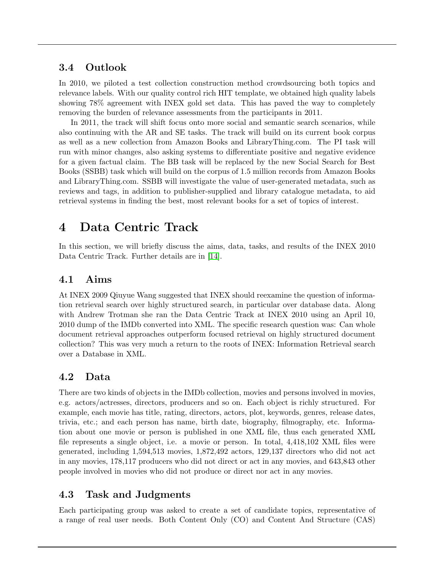#### 3.4 Outlook

In 2010, we piloted a test collection construction method crowdsourcing both topics and relevance labels. With our quality control rich HIT template, we obtained high quality labels showing 78% agreement with INEX gold set data. This has paved the way to completely removing the burden of relevance assessments from the participants in 2011.

In 2011, the track will shift focus onto more social and semantic search scenarios, while also continuing with the AR and SE tasks. The track will build on its current book corpus as well as a new collection from Amazon Books and LibraryThing.com. The PI task will run with minor changes, also asking systems to differentiate positive and negative evidence for a given factual claim. The BB task will be replaced by the new Social Search for Best Books (SSBB) task which will build on the corpus of 1.5 million records from Amazon Books and LibraryThing.com. SSBB will investigate the value of user-generated metadata, such as reviews and tags, in addition to publisher-supplied and library catalogue metadata, to aid retrieval systems in finding the best, most relevant books for a set of topics of interest.

# <span id="page-5-0"></span>4 Data Centric Track

In this section, we will briefly discuss the aims, data, tasks, and results of the INEX 2010 Data Centric Track. Further details are in [\[14\]](#page-15-6).

#### 4.1 Aims

At INEX 2009 Qiuyue Wang suggested that INEX should reexamine the question of information retrieval search over highly structured search, in particular over database data. Along with Andrew Trotman she ran the Data Centric Track at INEX 2010 using an April 10, 2010 dump of the IMDb converted into XML. The specific research question was: Can whole document retrieval approaches outperform focused retrieval on highly structured document collection? This was very much a return to the roots of INEX: Information Retrieval search over a Database in XML.

### 4.2 Data

There are two kinds of objects in the IMDb collection, movies and persons involved in movies, e.g. actors/actresses, directors, producers and so on. Each object is richly structured. For example, each movie has title, rating, directors, actors, plot, keywords, genres, release dates, trivia, etc.; and each person has name, birth date, biography, filmography, etc. Information about one movie or person is published in one XML file, thus each generated XML file represents a single object, i.e. a movie or person. In total, 4,418,102 XML files were generated, including 1,594,513 movies, 1,872,492 actors, 129,137 directors who did not act in any movies, 178,117 producers who did not direct or act in any movies, and 643,843 other people involved in movies who did not produce or direct nor act in any movies.

### 4.3 Task and Judgments

Each participating group was asked to create a set of candidate topics, representative of a range of real user needs. Both Content Only (CO) and Content And Structure (CAS)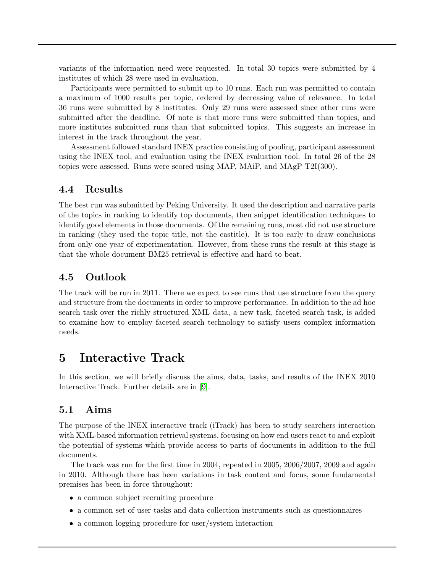variants of the information need were requested. In total 30 topics were submitted by 4 institutes of which 28 were used in evaluation.

Participants were permitted to submit up to 10 runs. Each run was permitted to contain a maximum of 1000 results per topic, ordered by decreasing value of relevance. In total 36 runs were submitted by 8 institutes. Only 29 runs were assessed since other runs were submitted after the deadline. Of note is that more runs were submitted than topics, and more institutes submitted runs than that submitted topics. This suggests an increase in interest in the track throughout the year.

Assessment followed standard INEX practice consisting of pooling, participant assessment using the INEX tool, and evaluation using the INEX evaluation tool. In total 26 of the 28 topics were assessed. Runs were scored using MAP, MAiP, and MAgP T2I(300).

#### 4.4 Results

The best run was submitted by Peking University. It used the description and narrative parts of the topics in ranking to identify top documents, then snippet identification techniques to identify good elements in those documents. Of the remaining runs, most did not use structure in ranking (they used the topic title, not the castitle). It is too early to draw conclusions from only one year of experimentation. However, from these runs the result at this stage is that the whole document BM25 retrieval is effective and hard to beat.

#### 4.5 Outlook

The track will be run in 2011. There we expect to see runs that use structure from the query and structure from the documents in order to improve performance. In addition to the ad hoc search task over the richly structured XML data, a new task, faceted search task, is added to examine how to employ faceted search technology to satisfy users complex information needs.

### <span id="page-6-0"></span>5 Interactive Track

In this section, we will briefly discuss the aims, data, tasks, and results of the INEX 2010 Interactive Track. Further details are in [\[9\]](#page-15-7).

#### 5.1 Aims

The purpose of the INEX interactive track (iTrack) has been to study searchers interaction with XML-based information retrieval systems, focusing on how end users react to and exploit the potential of systems which provide access to parts of documents in addition to the full documents.

The track was run for the first time in 2004, repeated in 2005, 2006/2007, 2009 and again in 2010. Although there has been variations in task content and focus, some fundamental premises has been in force throughout:

- a common subject recruiting procedure
- a common set of user tasks and data collection instruments such as questionnaires
- a common logging procedure for user/system interaction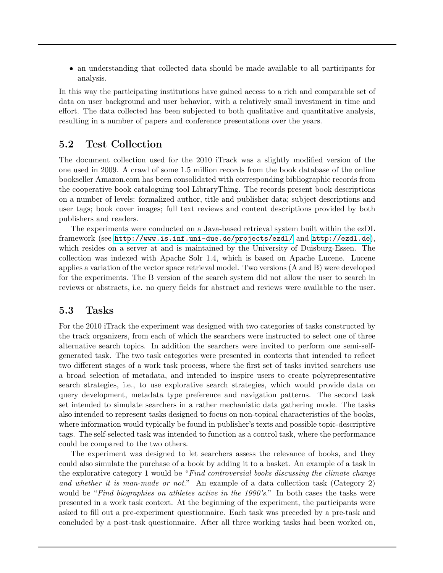• an understanding that collected data should be made available to all participants for analysis.

In this way the participating institutions have gained access to a rich and comparable set of data on user background and user behavior, with a relatively small investment in time and effort. The data collected has been subjected to both qualitative and quantitative analysis, resulting in a number of papers and conference presentations over the years.

#### 5.2 Test Collection

The document collection used for the 2010 iTrack was a slightly modified version of the one used in 2009. A crawl of some 1.5 million records from the book database of the online bookseller Amazon.com has been consolidated with corresponding bibliographic records from the cooperative book cataloguing tool LibraryThing. The records present book descriptions on a number of levels: formalized author, title and publisher data; subject descriptions and user tags; book cover images; full text reviews and content descriptions provided by both publishers and readers.

The experiments were conducted on a Java-based retrieval system built within the ezDL framework (see <http://www.is.inf.uni-due.de/projects/ezdl/> and <http://ezdl.de>), which resides on a server at and is maintained by the University of Duisburg-Essen. The collection was indexed with Apache Solr 1.4, which is based on Apache Lucene. Lucene applies a variation of the vector space retrieval model. Two versions (A and B) were developed for the experiments. The B version of the search system did not allow the user to search in reviews or abstracts, i.e. no query fields for abstract and reviews were available to the user.

#### 5.3 Tasks

For the 2010 iTrack the experiment was designed with two categories of tasks constructed by the track organizers, from each of which the searchers were instructed to select one of three alternative search topics. In addition the searchers were invited to perform one semi-selfgenerated task. The two task categories were presented in contexts that intended to reflect two different stages of a work task process, where the first set of tasks invited searchers use a broad selection of metadata, and intended to inspire users to create polyrepresentative search strategies, i.e., to use explorative search strategies, which would provide data on query development, metadata type preference and navigation patterns. The second task set intended to simulate searchers in a rather mechanistic data gathering mode. The tasks also intended to represent tasks designed to focus on non-topical characteristics of the books, where information would typically be found in publisher's texts and possible topic-descriptive tags. The self-selected task was intended to function as a control task, where the performance could be compared to the two others.

The experiment was designed to let searchers assess the relevance of books, and they could also simulate the purchase of a book by adding it to a basket. An example of a task in the explorative category 1 would be "Find controversial books discussing the climate change and whether it is man-made or not." An example of a data collection task (Category 2) would be "Find biographies on athletes active in the 1990's." In both cases the tasks were presented in a work task context. At the beginning of the experiment, the participants were asked to fill out a pre-experiment questionnaire. Each task was preceded by a pre-task and concluded by a post-task questionnaire. After all three working tasks had been worked on,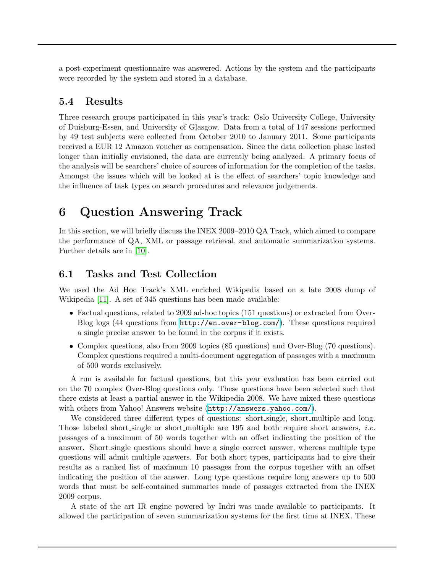a post-experiment questionnaire was answered. Actions by the system and the participants were recorded by the system and stored in a database.

#### 5.4 Results

Three research groups participated in this year's track: Oslo University College, University of Duisburg-Essen, and University of Glasgow. Data from a total of 147 sessions performed by 49 test subjects were collected from October 2010 to January 2011. Some participants received a EUR 12 Amazon voucher as compensation. Since the data collection phase lasted longer than initially envisioned, the data are currently being analyzed. A primary focus of the analysis will be searchers' choice of sources of information for the completion of the tasks. Amongst the issues which will be looked at is the effect of searchers' topic knowledge and the influence of task types on search procedures and relevance judgements.

# <span id="page-8-0"></span>6 Question Answering Track

In this section, we will briefly discuss the INEX 2009–2010 QA Track, which aimed to compare the performance of QA, XML or passage retrieval, and automatic summarization systems. Further details are in [\[10\]](#page-15-8).

#### 6.1 Tasks and Test Collection

We used the Ad Hoc Track's XML enriched Wikipedia based on a late 2008 dump of Wikipedia [\[11\]](#page-15-3). A set of 345 questions has been made available:

- Factual questions, related to 2009 ad-hoc topics (151 questions) or extracted from Over-Blog logs (44 questions from <http://en.over-blog.com/>). These questions required a single precise answer to be found in the corpus if it exists.
- Complex questions, also from 2009 topics (85 questions) and Over-Blog (70 questions). Complex questions required a multi-document aggregation of passages with a maximum of 500 words exclusively.

A run is available for factual questions, but this year evaluation has been carried out on the 70 complex Over-Blog questions only. These questions have been selected such that there exists at least a partial answer in the Wikipedia 2008. We have mixed these questions with others from Yahoo! Answers website (<http://answers.yahoo.com/>).

We considered three different types of questions: short\_single, short\_multiple and long. Those labeled short single or short multiple are 195 and both require short answers, *i.e.* passages of a maximum of 50 words together with an offset indicating the position of the answer. Short single questions should have a single correct answer, whereas multiple type questions will admit multiple answers. For both short types, participants had to give their results as a ranked list of maximum 10 passages from the corpus together with an offset indicating the position of the answer. Long type questions require long answers up to 500 words that must be self-contained summaries made of passages extracted from the INEX 2009 corpus.

A state of the art IR engine powered by Indri was made available to participants. It allowed the participation of seven summarization systems for the first time at INEX. These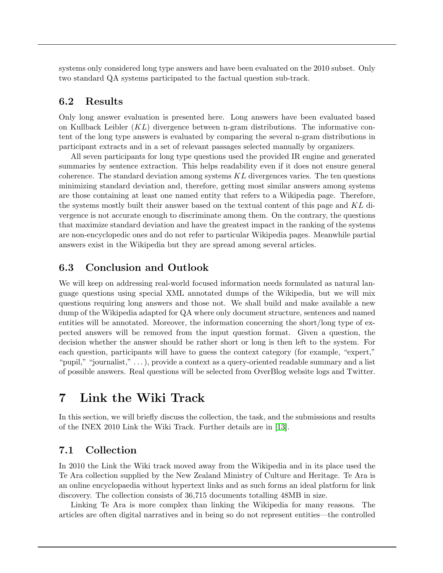systems only considered long type answers and have been evaluated on the 2010 subset. Only two standard QA systems participated to the factual question sub-track.

#### 6.2 Results

Only long answer evaluation is presented here. Long answers have been evaluated based on Kullback Leibler  $(KL)$  divergence between n-gram distributions. The informative content of the long type answers is evaluated by comparing the several n-gram distributions in participant extracts and in a set of relevant passages selected manually by organizers.

All seven participants for long type questions used the provided IR engine and generated summaries by sentence extraction. This helps readability even if it does not ensure general coherence. The standard deviation among systems  $KL$  divergences varies. The ten questions minimizing standard deviation and, therefore, getting most similar answers among systems are those containing at least one named entity that refers to a Wikipedia page. Therefore, the systems mostly built their answer based on the textual content of this page and KL divergence is not accurate enough to discriminate among them. On the contrary, the questions that maximize standard deviation and have the greatest impact in the ranking of the systems are non-encyclopedic ones and do not refer to particular Wikipedia pages. Meanwhile partial answers exist in the Wikipedia but they are spread among several articles.

#### 6.3 Conclusion and Outlook

We will keep on addressing real-world focused information needs formulated as natural language questions using special XML annotated dumps of the Wikipedia, but we will mix questions requiring long answers and those not. We shall build and make available a new dump of the Wikipedia adapted for QA where only document structure, sentences and named entities will be annotated. Moreover, the information concerning the short/long type of expected answers will be removed from the input question format. Given a question, the decision whether the answer should be rather short or long is then left to the system. For each question, participants will have to guess the context category (for example, "expert," "pupil," "journalist," . . . ), provide a context as a query-oriented readable summary and a list of possible answers. Real questions will be selected from OverBlog website logs and Twitter.

# <span id="page-9-0"></span>7 Link the Wiki Track

In this section, we will briefly discuss the collection, the task, and the submissions and results of the INEX 2010 Link the Wiki Track. Further details are in [\[13\]](#page-15-9).

#### 7.1 Collection

In 2010 the Link the Wiki track moved away from the Wikipedia and in its place used the Te Ara collection supplied by the New Zealand Ministry of Culture and Heritage. Te Ara is an online encyclopaedia without hypertext links and as such forms an ideal platform for link discovery. The collection consists of 36,715 documents totalling 48MB in size.

Linking Te Ara is more complex than linking the Wikipedia for many reasons. The articles are often digital narratives and in being so do not represent entities—the controlled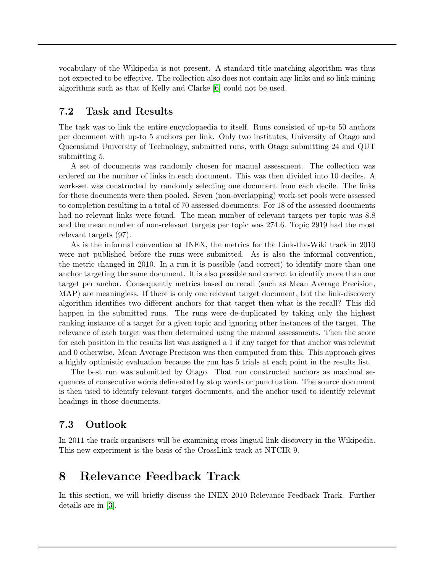vocabulary of the Wikipedia is not present. A standard title-matching algorithm was thus not expected to be effective. The collection also does not contain any links and so link-mining algorithms such as that of Kelly and Clarke [\[6\]](#page-15-10) could not be used.

#### 7.2 Task and Results

The task was to link the entire encyclopaedia to itself. Runs consisted of up-to 50 anchors per document with up-to 5 anchors per link. Only two institutes, University of Otago and Queensland University of Technology, submitted runs, with Otago submitting 24 and QUT submitting 5.

A set of documents was randomly chosen for manual assessment. The collection was ordered on the number of links in each document. This was then divided into 10 deciles. A work-set was constructed by randomly selecting one document from each decile. The links for these documents were then pooled. Seven (non-overlapping) work-set pools were assessed to completion resulting in a total of 70 assessed documents. For 18 of the assessed documents had no relevant links were found. The mean number of relevant targets per topic was 8.8 and the mean number of non-relevant targets per topic was 274.6. Topic 2919 had the most relevant targets (97).

As is the informal convention at INEX, the metrics for the Link-the-Wiki track in 2010 were not published before the runs were submitted. As is also the informal convention, the metric changed in 2010. In a run it is possible (and correct) to identify more than one anchor targeting the same document. It is also possible and correct to identify more than one target per anchor. Consequently metrics based on recall (such as Mean Average Precision, MAP) are meaningless. If there is only one relevant target document, but the link-discovery algorithm identifies two different anchors for that target then what is the recall? This did happen in the submitted runs. The runs were de-duplicated by taking only the highest ranking instance of a target for a given topic and ignoring other instances of the target. The relevance of each target was then determined using the manual assessments. Then the score for each position in the results list was assigned a 1 if any target for that anchor was relevant and 0 otherwise. Mean Average Precision was then computed from this. This approach gives a highly optimistic evaluation because the run has 5 trials at each point in the results list.

The best run was submitted by Otago. That run constructed anchors as maximal sequences of consecutive words delineated by stop words or punctuation. The source document is then used to identify relevant target documents, and the anchor used to identify relevant headings in those documents.

#### 7.3 Outlook

In 2011 the track organisers will be examining cross-lingual link discovery in the Wikipedia. This new experiment is the basis of the CrossLink track at NTCIR 9.

## <span id="page-10-0"></span>8 Relevance Feedback Track

In this section, we will briefly discuss the INEX 2010 Relevance Feedback Track. Further details are in [\[3\]](#page-15-11).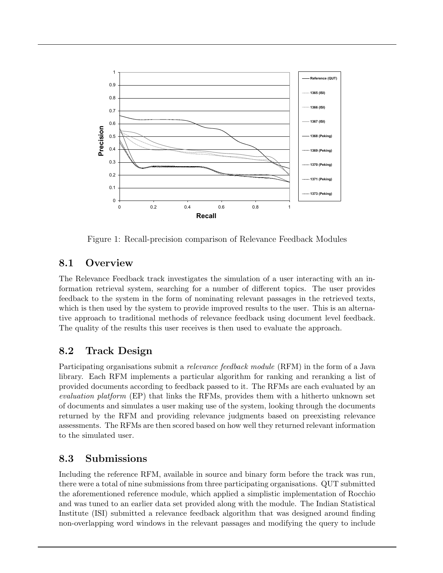

<span id="page-11-0"></span>Figure 1: Recall-precision comparison of Relevance Feedback Modules

### 8.1 Overview

The Relevance Feedback track investigates the simulation of a user interacting with an information retrieval system, searching for a number of different topics. The user provides feedback to the system in the form of nominating relevant passages in the retrieved texts, which is then used by the system to provide improved results to the user. This is an alternative approach to traditional methods of relevance feedback using document level feedback. The quality of the results this user receives is then used to evaluate the approach.

### 8.2 Track Design

Participating organisations submit a relevance feedback module (RFM) in the form of a Java library. Each RFM implements a particular algorithm for ranking and reranking a list of provided documents according to feedback passed to it. The RFMs are each evaluated by an evaluation platform (EP) that links the RFMs, provides them with a hitherto unknown set of documents and simulates a user making use of the system, looking through the documents returned by the RFM and providing relevance judgments based on preexisting relevance assessments. The RFMs are then scored based on how well they returned relevant information to the simulated user.

### 8.3 Submissions

Including the reference RFM, available in source and binary form before the track was run, there were a total of nine submissions from three participating organisations. QUT submitted the aforementioned reference module, which applied a simplistic implementation of Rocchio and was tuned to an earlier data set provided along with the module. The Indian Statistical Institute (ISI) submitted a relevance feedback algorithm that was designed around finding non-overlapping word windows in the relevant passages and modifying the query to include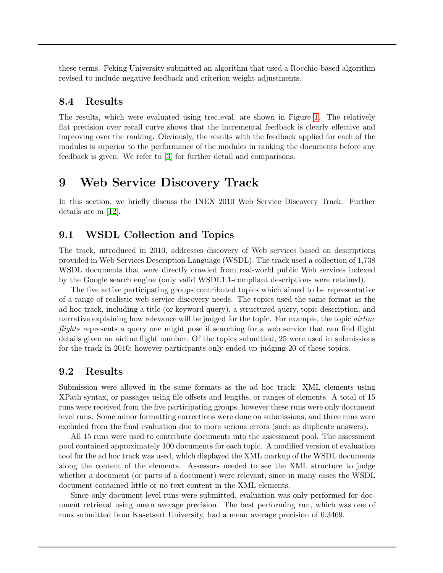these terms. Peking University submitted an algorithm that used a Rocchio-based algorithm revised to include negative feedback and criterion weight adjustments.

#### 8.4 Results

The results, which were evaluated using trec eval, are shown in Figure [1.](#page-11-0) The relatively flat precision over recall curve shows that the incremental feedback is clearly effective and improving over the ranking. Obviously, the results with the feedback applied for each of the modules is superior to the performance of the modules in ranking the documents before any feedback is given. We refer to [\[3\]](#page-15-11) for further detail and comparisons.

### <span id="page-12-0"></span>9 Web Service Discovery Track

In this section, we briefly discuss the INEX 2010 Web Service Discovery Track. Further details are in [\[12\]](#page-15-12).

#### 9.1 WSDL Collection and Topics

The track, introduced in 2010, addresses discovery of Web services based on descriptions provided in Web Services Description Language (WSDL). The track used a collection of 1,738 WSDL documents that were directly crawled from real-world public Web services indexed by the Google search engine (only valid WSDL1.1-compliant descriptions were retained).

The five active participating groups contributed topics which aimed to be representative of a range of realistic web service discovery needs. The topics used the same format as the ad hoc track, including a title (or keyword query), a structured query, topic description, and narrative explaining how relevance will be judged for the topic. For example, the topic *airline* flights represents a query one might pose if searching for a web service that can find flight details given an airline flight number. Of the topics submitted, 25 were used in submissions for the track in 2010; however participants only ended up judging 20 of these topics.

#### 9.2 Results

Submission were allowed in the same formats as the ad hoc track: XML elements using XPath syntax, or passages using file offsets and lengths, or ranges of elements. A total of 15 runs were received from the five participating groups, however these runs were only document level runs. Some minor formatting corrections were done on submissions, and three runs were excluded from the final evaluation due to more serious errors (such as duplicate answers).

All 15 runs were used to contribute documents into the assessment pool. The assessment pool contained approximately 100 documents for each topic. A modified version of evaluation tool for the ad hoc track was used, which displayed the XML markup of the WSDL documents along the content of the elements. Assessors needed to see the XML structure to judge whether a document (or parts of a document) were relevant, since in many cases the WSDL document contained little or no text content in the XML elements.

Since only document level runs were submitted, evaluation was only performed for document retrieval using mean average precision. The best performing run, which was one of runs submitted from Kasetsart University, had a mean average precision of 0.3469.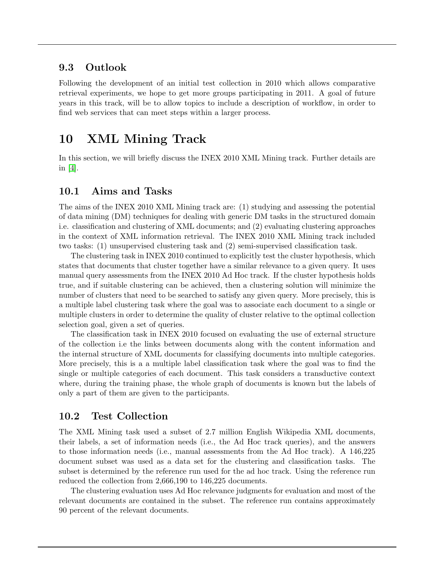#### 9.3 Outlook

Following the development of an initial test collection in 2010 which allows comparative retrieval experiments, we hope to get more groups participating in 2011. A goal of future years in this track, will be to allow topics to include a description of workflow, in order to find web services that can meet steps within a larger process.

# <span id="page-13-0"></span>10 XML Mining Track

In this section, we will briefly discuss the INEX 2010 XML Mining track. Further details are in [\[4\]](#page-15-13).

#### 10.1 Aims and Tasks

The aims of the INEX 2010 XML Mining track are: (1) studying and assessing the potential of data mining (DM) techniques for dealing with generic DM tasks in the structured domain i.e. classification and clustering of XML documents; and (2) evaluating clustering approaches in the context of XML information retrieval. The INEX 2010 XML Mining track included two tasks: (1) unsupervised clustering task and (2) semi-supervised classification task.

The clustering task in INEX 2010 continued to explicitly test the cluster hypothesis, which states that documents that cluster together have a similar relevance to a given query. It uses manual query assessments from the INEX 2010 Ad Hoc track. If the cluster hypothesis holds true, and if suitable clustering can be achieved, then a clustering solution will minimize the number of clusters that need to be searched to satisfy any given query. More precisely, this is a multiple label clustering task where the goal was to associate each document to a single or multiple clusters in order to determine the quality of cluster relative to the optimal collection selection goal, given a set of queries.

The classification task in INEX 2010 focused on evaluating the use of external structure of the collection i.e the links between documents along with the content information and the internal structure of XML documents for classifying documents into multiple categories. More precisely, this is a a multiple label classification task where the goal was to find the single or multiple categories of each document. This task considers a transductive context where, during the training phase, the whole graph of documents is known but the labels of only a part of them are given to the participants.

#### 10.2 Test Collection

The XML Mining task used a subset of 2.7 million English Wikipedia XML documents, their labels, a set of information needs (i.e., the Ad Hoc track queries), and the answers to those information needs (i.e., manual assessments from the Ad Hoc track). A 146,225 document subset was used as a data set for the clustering and classification tasks. The subset is determined by the reference run used for the ad hoc track. Using the reference run reduced the collection from 2,666,190 to 146,225 documents.

The clustering evaluation uses Ad Hoc relevance judgments for evaluation and most of the relevant documents are contained in the subset. The reference run contains approximately 90 percent of the relevant documents.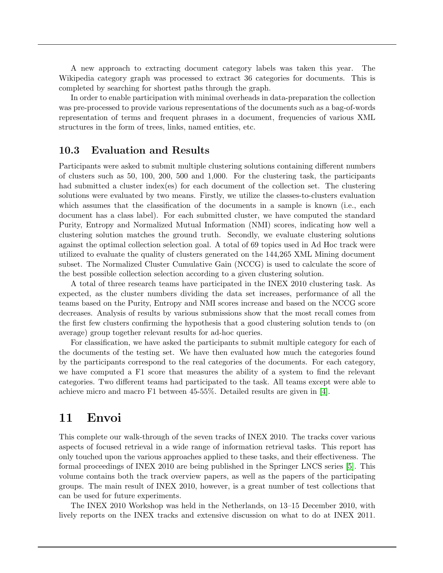A new approach to extracting document category labels was taken this year. The Wikipedia category graph was processed to extract 36 categories for documents. This is completed by searching for shortest paths through the graph.

In order to enable participation with minimal overheads in data-preparation the collection was pre-processed to provide various representations of the documents such as a bag-of-words representation of terms and frequent phrases in a document, frequencies of various XML structures in the form of trees, links, named entities, etc.

#### 10.3 Evaluation and Results

Participants were asked to submit multiple clustering solutions containing different numbers of clusters such as 50, 100, 200, 500 and 1,000. For the clustering task, the participants had submitted a cluster index(es) for each document of the collection set. The clustering solutions were evaluated by two means. Firstly, we utilize the classes-to-clusters evaluation which assumes that the classification of the documents in a sample is known (i.e., each document has a class label). For each submitted cluster, we have computed the standard Purity, Entropy and Normalized Mutual Information (NMI) scores, indicating how well a clustering solution matches the ground truth. Secondly, we evaluate clustering solutions against the optimal collection selection goal. A total of 69 topics used in Ad Hoc track were utilized to evaluate the quality of clusters generated on the 144,265 XML Mining document subset. The Normalized Cluster Cumulative Gain (NCCG) is used to calculate the score of the best possible collection selection according to a given clustering solution.

A total of three research teams have participated in the INEX 2010 clustering task. As expected, as the cluster numbers dividing the data set increases, performance of all the teams based on the Purity, Entropy and NMI scores increase and based on the NCCG score decreases. Analysis of results by various submissions show that the most recall comes from the first few clusters confirming the hypothesis that a good clustering solution tends to (on average) group together relevant results for ad-hoc queries.

For classification, we have asked the participants to submit multiple category for each of the documents of the testing set. We have then evaluated how much the categories found by the participants correspond to the real categories of the documents. For each category, we have computed a F1 score that measures the ability of a system to find the relevant categories. Two different teams had participated to the task. All teams except were able to achieve micro and macro F1 between 45-55%. Detailed results are given in [\[4\]](#page-15-13).

# 11 Envoi

This complete our walk-through of the seven tracks of INEX 2010. The tracks cover various aspects of focused retrieval in a wide range of information retrieval tasks. This report has only touched upon the various approaches applied to these tasks, and their effectiveness. The formal proceedings of INEX 2010 are being published in the Springer LNCS series [\[5\]](#page-15-4). This volume contains both the track overview papers, as well as the papers of the participating groups. The main result of INEX 2010, however, is a great number of test collections that can be used for future experiments.

The INEX 2010 Workshop was held in the Netherlands, on 13–15 December 2010, with lively reports on the INEX tracks and extensive discussion on what to do at INEX 2011.